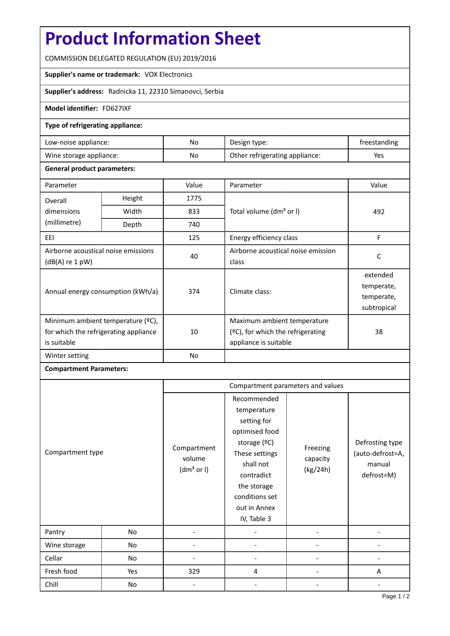# **Product Information Sheet**

COMMISSION DELEGATED REGULATION (EU) 2019/2016

## **Supplier's name or trademark:** VOX Electronics

**Supplier's address:** Radnicka 11, 22310 Simanovci, Serbia

#### **Model identifier:** FD627IXF

#### **Type of refrigerating appliance:**

| Low-noise appliance:    | No. | Design type:                   | treestanding |
|-------------------------|-----|--------------------------------|--------------|
| Wine storage appliance: | No  | Other refrigerating appliance: | Yes          |

### **General product parameters:**

| Parameter                                                                                 |                                                     | Value | Parameter                                                                                    | Value                                               |  |
|-------------------------------------------------------------------------------------------|-----------------------------------------------------|-------|----------------------------------------------------------------------------------------------|-----------------------------------------------------|--|
| Overall                                                                                   | Height                                              | 1775  |                                                                                              |                                                     |  |
| dimensions                                                                                | Width<br>833<br>Total volume (dm <sup>3</sup> or I) |       | 492                                                                                          |                                                     |  |
| (millimetre)                                                                              | Depth                                               | 740   |                                                                                              |                                                     |  |
| EEI                                                                                       |                                                     | 125   | Energy efficiency class                                                                      | F                                                   |  |
| Airborne acoustical noise emissions<br>$(dB(A)$ re 1 pW)                                  |                                                     | 40    | Airborne acoustical noise emission<br>class                                                  | C                                                   |  |
| Annual energy consumption (kWh/a)                                                         |                                                     | 374   | Climate class:                                                                               | extended<br>temperate,<br>temperate,<br>subtropical |  |
| Minimum ambient temperature (°C),<br>for which the refrigerating appliance<br>is suitable |                                                     | 10    | Maximum ambient temperature<br>$(2C)$ , for which the refrigerating<br>appliance is suitable | 38                                                  |  |
| Winter setting                                                                            |                                                     | No    |                                                                                              |                                                     |  |

## **Compartment Parameters:**

|                  |     | Compartment parameters and values               |                                                                                                                                                                                          |                                  |                                                             |
|------------------|-----|-------------------------------------------------|------------------------------------------------------------------------------------------------------------------------------------------------------------------------------------------|----------------------------------|-------------------------------------------------------------|
| Compartment type |     | Compartment<br>volume<br>(dm <sup>3</sup> or I) | Recommended<br>temperature<br>setting for<br>optimised food<br>storage (°C)<br>These settings<br>shall not<br>contradict<br>the storage<br>conditions set<br>out in Annex<br>IV, Table 3 | Freezing<br>capacity<br>(kg/24h) | Defrosting type<br>(auto-defrost=A,<br>manual<br>defrost=M) |
| Pantry           | No  |                                                 |                                                                                                                                                                                          |                                  |                                                             |
| Wine storage     | No  |                                                 |                                                                                                                                                                                          |                                  |                                                             |
| Cellar           | No  |                                                 |                                                                                                                                                                                          |                                  |                                                             |
| Fresh food       | Yes | 329                                             | 4                                                                                                                                                                                        |                                  | A                                                           |
| Chill            | No  |                                                 |                                                                                                                                                                                          |                                  |                                                             |